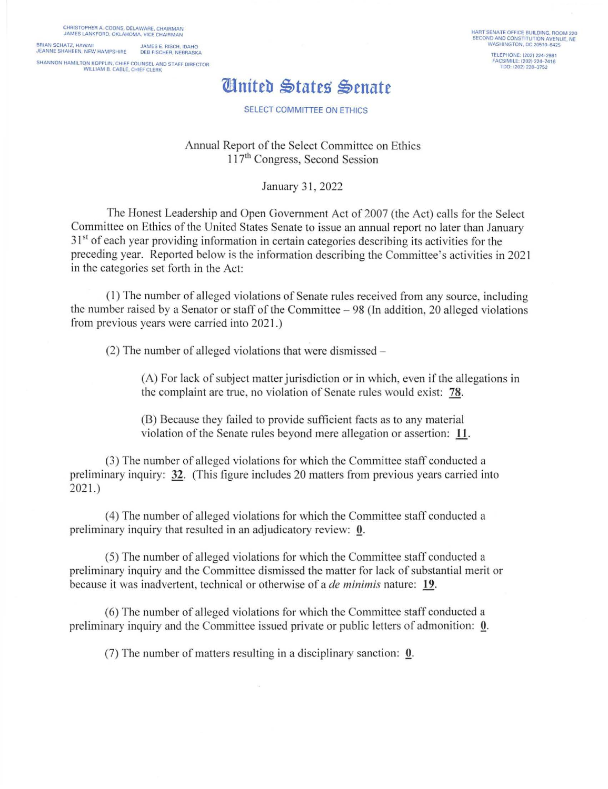CHRISTOPHER A. COONS. DELAWARE, CHAIRMAN JAMES LANKFORD, OKLAHOMA, VICE CHAIRMAN BRIAN SCHATZ, HAWAII JAMES E. RISCH, IDAHO JEANNE SHAHEEN, NEW HAMPSHIRE DEB FISCHER, NEBRASKA SHANNON HAMILTON KOPPLIN. CHIEF COUNSEL AND STAFF DIRECTOR WILLIAM B. CABLE, CHIEF CLERK

HART SENATE OFFICE BUILDING. ROOM 220 SECOND AND CONSTITUTION AVENUE, NE<br>WASHINGTON, DC 20510-6425 TELEPHONE. (202) 224-2981 FACSIMILE: (202) 224-7416<br>TDD: (202) 228-3752

## *United States Senate*

SELECT COMMITTEE ON ETHICS

Annual Report of the Select Committee on Ethics 117<sup>th</sup> Congress, Second Session

January 31, 2022

The Honest Leadership and Open Government Act of 2007 (the Act) calls for the Select Committee on Ethics of the United States Senate to issue an annual report no later than January 31<sup>st</sup> of each year providing information in certain categories describing its activities for the preceding year. Reported below is the information describing the Committee's activities in 202 1 in the categories set forth in the Act:

( I) The number of all eged violations of Senate rules received from any source, including the number raised by a Senator or staff of the Committee  $-98$  (In addition, 20 alleged violations from previous years were carried into 2021 .)

 $(2)$  The number of alleged violations that were dismissed –

 $(A)$  For lack of subject matter jurisdiction or in which, even if the allegations in the complaint are true, no violation of Senate rules would exist: 78.

(B) Because they failed to provide sufficient facts as to any material violation of the Senate rules beyond mere allegation or assertion: 11.

(3) The number of alleged violations for which the Committee staff conducted a preliminary inquiry: 32. (This figure includes 20 matters from previous years carried into  $2021.$ 

(4) The number of al leged violations for which the Committee staff conducted a preliminary inquiry that resulted in an adjudicatory review: 0.

(5) The number of alleged violations for which the Committee staff conducted a preliminary inquiry and the Committee dismissed the matter for lack of substantial merit or because it was inadvertent, technical or otherwise of a *de minimis* nature: 19.

(6) The number of a lleged violations for which the Committee staff conducted a preliminary inquiry and the Committee issued private or public letters of admonition: Q.

(7) The number of matters resulting in a disciplinary sanction: Q.